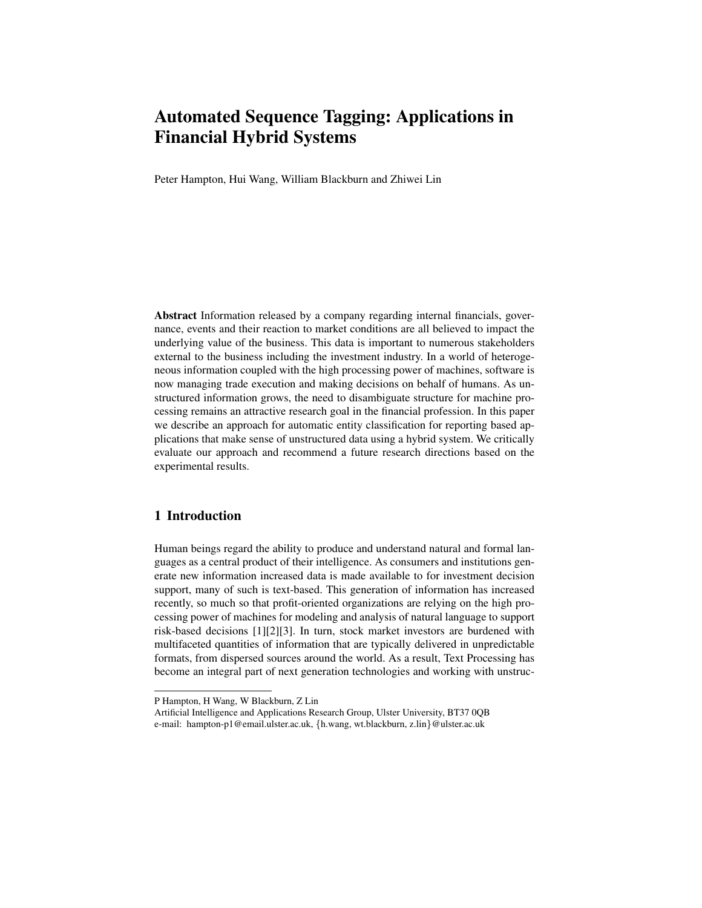Peter Hampton, Hui Wang, William Blackburn and Zhiwei Lin

Abstract Information released by a company regarding internal financials, governance, events and their reaction to market conditions are all believed to impact the underlying value of the business. This data is important to numerous stakeholders external to the business including the investment industry. In a world of heterogeneous information coupled with the high processing power of machines, software is now managing trade execution and making decisions on behalf of humans. As unstructured information grows, the need to disambiguate structure for machine processing remains an attractive research goal in the financial profession. In this paper we describe an approach for automatic entity classification for reporting based applications that make sense of unstructured data using a hybrid system. We critically evaluate our approach and recommend a future research directions based on the experimental results.

# 1 Introduction

Human beings regard the ability to produce and understand natural and formal languages as a central product of their intelligence. As consumers and institutions generate new information increased data is made available to for investment decision support, many of such is text-based. This generation of information has increased recently, so much so that profit-oriented organizations are relying on the high processing power of machines for modeling and analysis of natural language to support risk-based decisions [1][2][3]. In turn, stock market investors are burdened with multifaceted quantities of information that are typically delivered in unpredictable formats, from dispersed sources around the world. As a result, Text Processing has become an integral part of next generation technologies and working with unstruc-

P Hampton, H Wang, W Blackburn, Z Lin

Artificial Intelligence and Applications Research Group, Ulster University, BT37 0QB e-mail: hampton-p1@email.ulster.ac.uk, {h.wang, wt.blackburn, z.lin}@ulster.ac.uk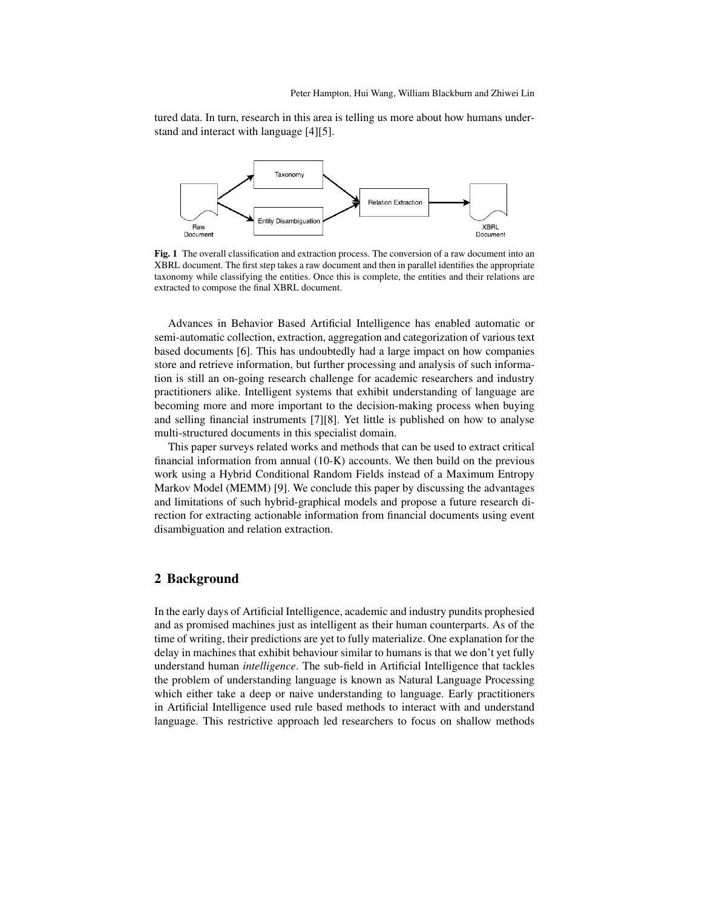tured data. In turn, research in this area is telling us more about how humans understand and interact with language [4][5].



Fig. 1 The overall classification and extraction process. The conversion of a raw document into an XBRL document. The first step takes a raw document and then in parallel identifies the appropriate taxonomy while classifying the entities. Once this is complete, the entities and their relations are extracted to compose the final XBRL document.

Advances in Behavior Based Artificial Intelligence has enabled automatic or semi-automatic collection, extraction, aggregation and categorization of various text based documents [6]. This has undoubtedly had a large impact on how companies store and retrieve information, but further processing and analysis of such information is still an on-going research challenge for academic researchers and industry practitioners alike. Intelligent systems that exhibit understanding of language are becoming more and more important to the decision-making process when buying and selling financial instruments [7][8]. Yet little is published on how to analyse multi-structured documents in this specialist domain.

This paper surveys related works and methods that can be used to extract critical financial information from annual (10-K) accounts. We then build on the previous work using a Hybrid Conditional Random Fields instead of a Maximum Entropy Markov Model (MEMM) [9]. We conclude this paper by discussing the advantages and limitations of such hybrid-graphical models and propose a future research direction for extracting actionable information from financial documents using event disambiguation and relation extraction.

### 2 Background

In the early days of Artificial Intelligence, academic and industry pundits prophesied and as promised machines just as intelligent as their human counterparts. As of the time of writing, their predictions are yet to fully materialize. One explanation for the delay in machines that exhibit behaviour similar to humans is that we don't yet fully understand human *intelligence*. The sub-field in Artificial Intelligence that tackles the problem of understanding language is known as Natural Language Processing which either take a deep or naive understanding to language. Early practitioners in Artificial Intelligence used rule based methods to interact with and understand language. This restrictive approach led researchers to focus on shallow methods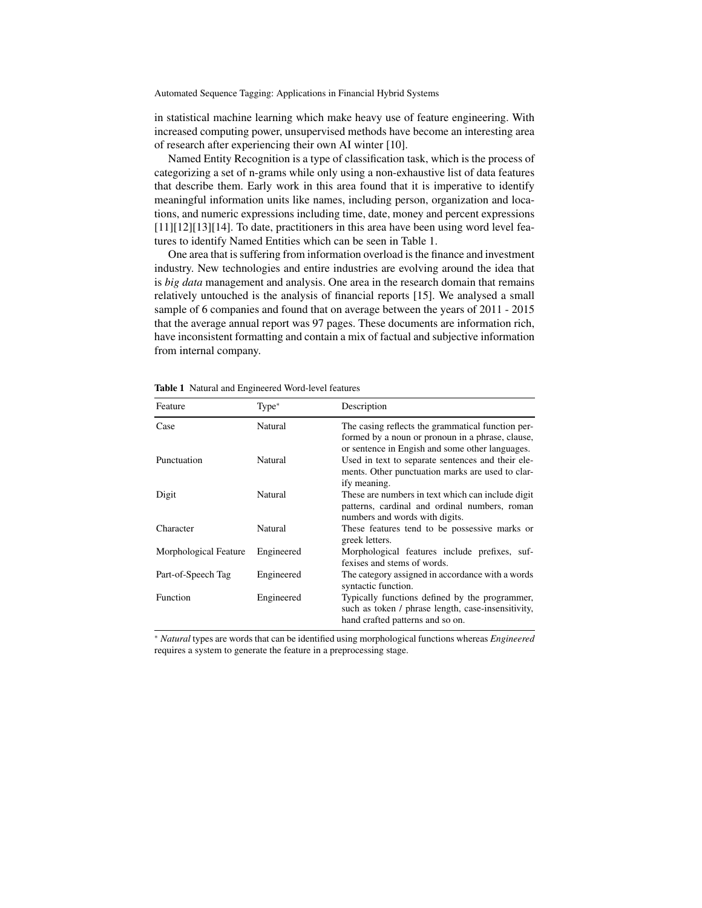in statistical machine learning which make heavy use of feature engineering. With increased computing power, unsupervised methods have become an interesting area of research after experiencing their own AI winter [10].

Named Entity Recognition is a type of classification task, which is the process of categorizing a set of n-grams while only using a non-exhaustive list of data features that describe them. Early work in this area found that it is imperative to identify meaningful information units like names, including person, organization and locations, and numeric expressions including time, date, money and percent expressions [11][12][13][14]. To date, practitioners in this area have been using word level features to identify Named Entities which can be seen in Table 1.

One area that is suffering from information overload is the finance and investment industry. New technologies and entire industries are evolving around the idea that is *big data* management and analysis. One area in the research domain that remains relatively untouched is the analysis of financial reports [15]. We analysed a small sample of 6 companies and found that on average between the years of 2011 - 2015 that the average annual report was 97 pages. These documents are information rich, have inconsistent formatting and contain a mix of factual and subjective information from internal company.

| Feature               | $Type*$    | Description                                                                                                                                              |
|-----------------------|------------|----------------------------------------------------------------------------------------------------------------------------------------------------------|
| Case                  | Natural    | The casing reflects the grammatical function per-<br>formed by a noun or pronoun in a phrase, clause,<br>or sentence in Engish and some other languages. |
| Punctuation           | Natural    | Used in text to separate sentences and their ele-<br>ments. Other punctuation marks are used to clar-<br>ify meaning.                                    |
| Digit                 | Natural    | These are numbers in text which can include digit<br>patterns, cardinal and ordinal numbers, roman<br>numbers and words with digits.                     |
| Character             | Natural    | These features tend to be possessive marks or<br>greek letters.                                                                                          |
| Morphological Feature | Engineered | Morphological features include prefixes, suf-<br>fexises and stems of words.                                                                             |
| Part-of-Speech Tag    | Engineered | The category assigned in accordance with a words<br>syntactic function.                                                                                  |
| Function              | Engineered | Typically functions defined by the programmer,<br>such as token / phrase length, case-insensitivity,<br>hand crafted patterns and so on.                 |

Table 1 Natural and Engineered Word-level features

<sup>∗</sup> *Natural* types are words that can be identified using morphological functions whereas *Engineered* requires a system to generate the feature in a preprocessing stage.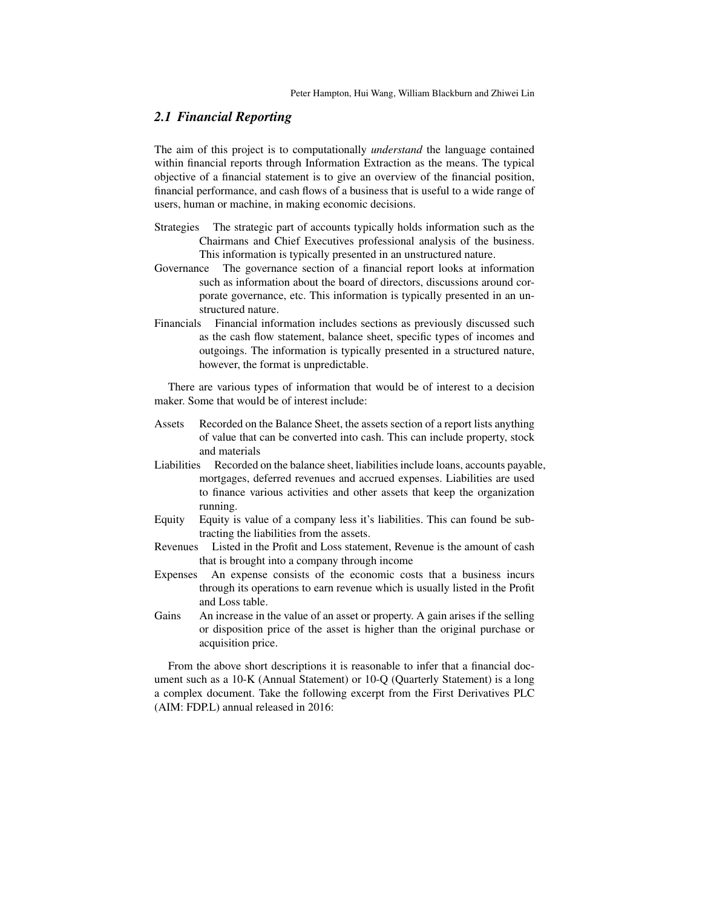# *2.1 Financial Reporting*

The aim of this project is to computationally *understand* the language contained within financial reports through Information Extraction as the means. The typical objective of a financial statement is to give an overview of the financial position, financial performance, and cash flows of a business that is useful to a wide range of users, human or machine, in making economic decisions.

- Strategies The strategic part of accounts typically holds information such as the Chairmans and Chief Executives professional analysis of the business. This information is typically presented in an unstructured nature.
- Governance The governance section of a financial report looks at information such as information about the board of directors, discussions around corporate governance, etc. This information is typically presented in an unstructured nature.
- Financials Financial information includes sections as previously discussed such as the cash flow statement, balance sheet, specific types of incomes and outgoings. The information is typically presented in a structured nature, however, the format is unpredictable.

There are various types of information that would be of interest to a decision maker. Some that would be of interest include:

- Assets Recorded on the Balance Sheet, the assets section of a report lists anything of value that can be converted into cash. This can include property, stock and materials
- Liabilities Recorded on the balance sheet, liabilities include loans, accounts payable, mortgages, deferred revenues and accrued expenses. Liabilities are used to finance various activities and other assets that keep the organization running.
- Equity Equity is value of a company less it's liabilities. This can found be subtracting the liabilities from the assets.
- Revenues Listed in the Profit and Loss statement, Revenue is the amount of cash that is brought into a company through income
- Expenses An expense consists of the economic costs that a business incurs through its operations to earn revenue which is usually listed in the Profit and Loss table.
- Gains An increase in the value of an asset or property. A gain arises if the selling or disposition price of the asset is higher than the original purchase or acquisition price.

From the above short descriptions it is reasonable to infer that a financial document such as a 10-K (Annual Statement) or 10-Q (Quarterly Statement) is a long a complex document. Take the following excerpt from the First Derivatives PLC (AIM: FDP.L) annual released in 2016: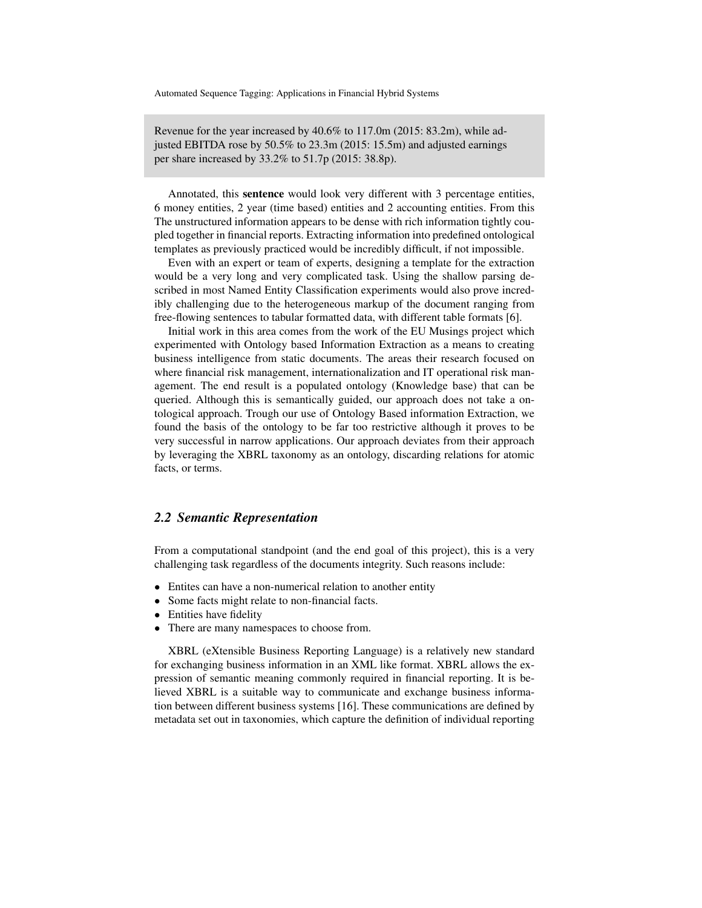Revenue for the year increased by 40.6% to 117.0m (2015: 83.2m), while adjusted EBITDA rose by 50.5% to 23.3m (2015: 15.5m) and adjusted earnings per share increased by 33.2% to 51.7p (2015: 38.8p).

Annotated, this sentence would look very different with 3 percentage entities, 6 money entities, 2 year (time based) entities and 2 accounting entities. From this The unstructured information appears to be dense with rich information tightly coupled together in financial reports. Extracting information into predefined ontological templates as previously practiced would be incredibly difficult, if not impossible.

Even with an expert or team of experts, designing a template for the extraction would be a very long and very complicated task. Using the shallow parsing described in most Named Entity Classification experiments would also prove incredibly challenging due to the heterogeneous markup of the document ranging from free-flowing sentences to tabular formatted data, with different table formats [6].

Initial work in this area comes from the work of the EU Musings project which experimented with Ontology based Information Extraction as a means to creating business intelligence from static documents. The areas their research focused on where financial risk management, internationalization and IT operational risk management. The end result is a populated ontology (Knowledge base) that can be queried. Although this is semantically guided, our approach does not take a ontological approach. Trough our use of Ontology Based information Extraction, we found the basis of the ontology to be far too restrictive although it proves to be very successful in narrow applications. Our approach deviates from their approach by leveraging the XBRL taxonomy as an ontology, discarding relations for atomic facts, or terms.

### *2.2 Semantic Representation*

From a computational standpoint (and the end goal of this project), this is a very challenging task regardless of the documents integrity. Such reasons include:

- Entites can have a non-numerical relation to another entity
- Some facts might relate to non-financial facts.
- Entities have fidelity
- There are many namespaces to choose from.

XBRL (eXtensible Business Reporting Language) is a relatively new standard for exchanging business information in an XML like format. XBRL allows the expression of semantic meaning commonly required in financial reporting. It is believed XBRL is a suitable way to communicate and exchange business information between different business systems [16]. These communications are defined by metadata set out in taxonomies, which capture the definition of individual reporting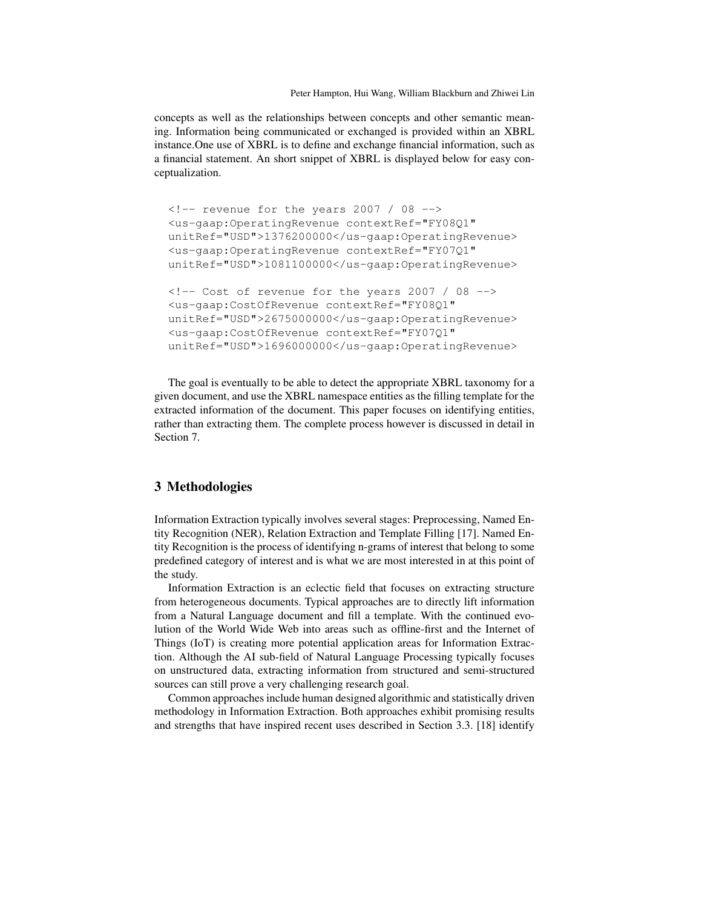Peter Hampton, Hui Wang, William Blackburn and Zhiwei Lin

concepts as well as the relationships between concepts and other semantic meaning. Information being communicated or exchanged is provided within an XBRL instance.One use of XBRL is to define and exchange financial information, such as a financial statement. An short snippet of XBRL is displayed below for easy conceptualization.

```
\langle -- revenue for the years 2007 / 08 -->
<us-gaap:OperatingRevenue contextRef="FY08Q1"
unitRef="USD">1376200000</us-gaap:OperatingRevenue>
<us-gaap:OperatingRevenue contextRef="FY07Q1"
unitRef="USD">1081100000</us-gaap:OperatingRevenue>
\langle -- Cost of revenue for the years 2007 / 08 -->
<us-gaap:CostOfRevenue contextRef="FY08Q1"
unitRef="USD">2675000000</us-gaap:OperatingRevenue>
<us-gaap:CostOfRevenue contextRef="FY07Q1"
unitRef="USD">1696000000</us-gaap:OperatingRevenue>
```
The goal is eventually to be able to detect the appropriate XBRL taxonomy for a given document, and use the XBRL namespace entities as the filling template for the extracted information of the document. This paper focuses on identifying entities, rather than extracting them. The complete process however is discussed in detail in Section 7.

# 3 Methodologies

Information Extraction typically involves several stages: Preprocessing, Named Entity Recognition (NER), Relation Extraction and Template Filling [17]. Named Entity Recognition is the process of identifying n-grams of interest that belong to some predefined category of interest and is what we are most interested in at this point of the study.

Information Extraction is an eclectic field that focuses on extracting structure from heterogeneous documents. Typical approaches are to directly lift information from a Natural Language document and fill a template. With the continued evolution of the World Wide Web into areas such as offline-first and the Internet of Things (IoT) is creating more potential application areas for Information Extraction. Although the AI sub-field of Natural Language Processing typically focuses on unstructured data, extracting information from structured and semi-structured sources can still prove a very challenging research goal.

Common approaches include human designed algorithmic and statistically driven methodology in Information Extraction. Both approaches exhibit promising results and strengths that have inspired recent uses described in Section 3.3. [18] identify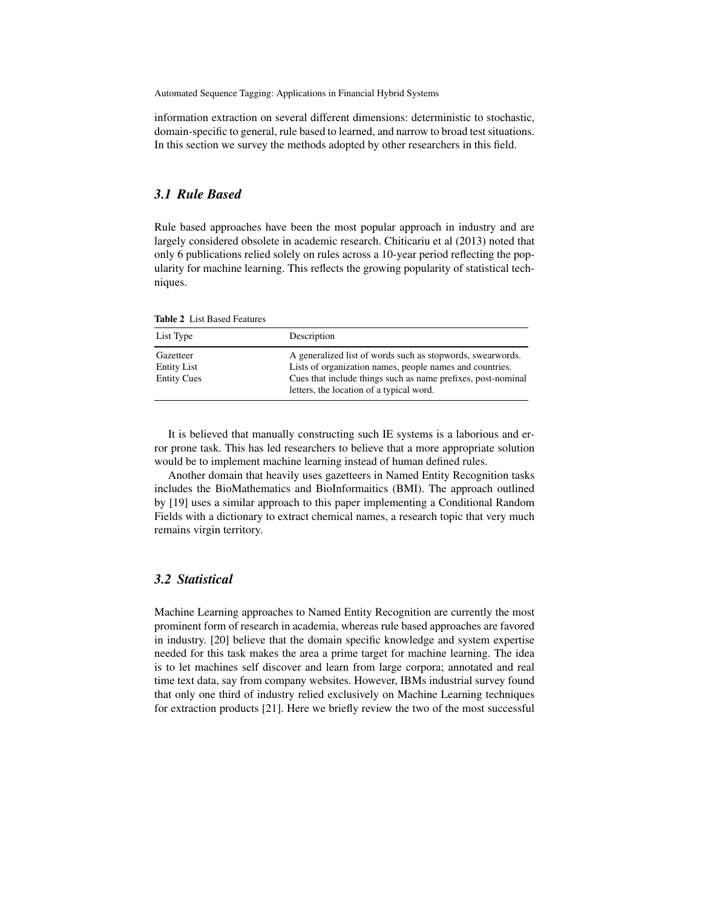information extraction on several different dimensions: deterministic to stochastic, domain-specific to general, rule based to learned, and narrow to broad test situations. In this section we survey the methods adopted by other researchers in this field.

### *3.1 Rule Based*

Rule based approaches have been the most popular approach in industry and are largely considered obsolete in academic research. Chiticariu et al (2013) noted that only 6 publications relied solely on rules across a 10-year period reflecting the popularity for machine learning. This reflects the growing popularity of statistical techniques.

| <b>Table 2</b> List Based Features |  |
|------------------------------------|--|
|------------------------------------|--|

| List Type                                             | Description                                                                                                                                                                                                                        |  |
|-------------------------------------------------------|------------------------------------------------------------------------------------------------------------------------------------------------------------------------------------------------------------------------------------|--|
| Gazetteer<br><b>Entity List</b><br><b>Entity Cues</b> | A generalized list of words such as stopwords, swearwords.<br>Lists of organization names, people names and countries.<br>Cues that include things such as name prefixes, post-nominal<br>letters, the location of a typical word. |  |

It is believed that manually constructing such IE systems is a laborious and error prone task. This has led researchers to believe that a more appropriate solution would be to implement machine learning instead of human defined rules.

Another domain that heavily uses gazetteers in Named Entity Recognition tasks includes the BioMathematics and BioInformaitics (BMI). The approach outlined by [19] uses a similar approach to this paper implementing a Conditional Random Fields with a dictionary to extract chemical names, a research topic that very much remains virgin territory.

# *3.2 Statistical*

Machine Learning approaches to Named Entity Recognition are currently the most prominent form of research in academia, whereas rule based approaches are favored in industry. [20] believe that the domain specific knowledge and system expertise needed for this task makes the area a prime target for machine learning. The idea is to let machines self discover and learn from large corpora; annotated and real time text data, say from company websites. However, IBMs industrial survey found that only one third of industry relied exclusively on Machine Learning techniques for extraction products [21]. Here we briefly review the two of the most successful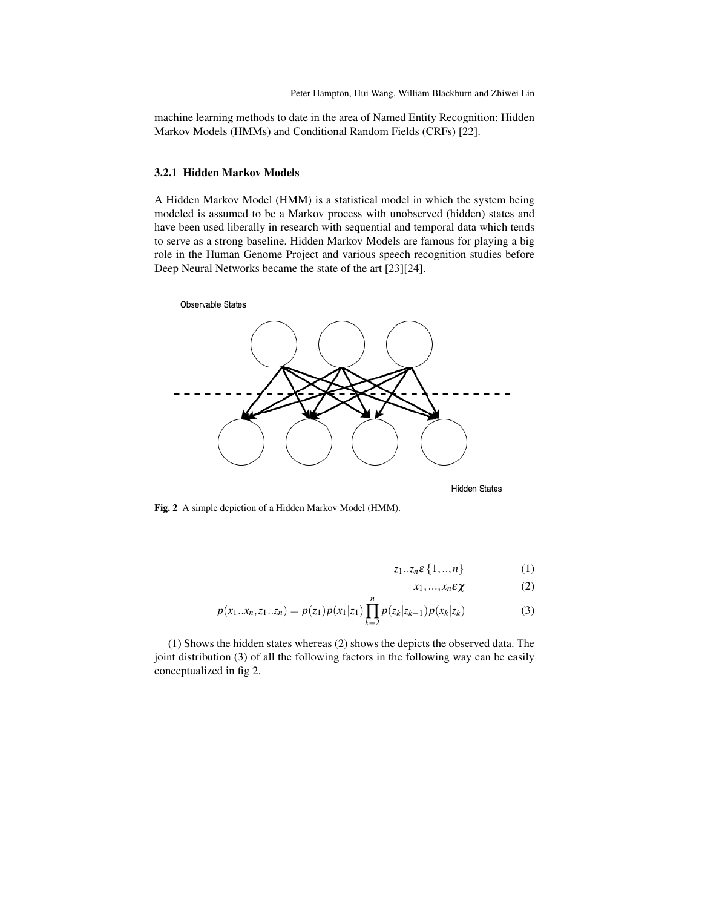machine learning methods to date in the area of Named Entity Recognition: Hidden Markov Models (HMMs) and Conditional Random Fields (CRFs) [22].

#### 3.2.1 Hidden Markov Models

A Hidden Markov Model (HMM) is a statistical model in which the system being modeled is assumed to be a Markov process with unobserved (hidden) states and have been used liberally in research with sequential and temporal data which tends to serve as a strong baseline. Hidden Markov Models are famous for playing a big role in the Human Genome Project and various speech recognition studies before Deep Neural Networks became the state of the art [23][24].



Fig. 2 A simple depiction of a Hidden Markov Model (HMM).

$$
z_1...z_n\epsilon\{1,...,n\} \tag{1}
$$

$$
x_1, \ldots, x_n \varepsilon \chi \tag{2}
$$

$$
p(x_1...x_n, z_1...z_n) = p(z_1)p(x_1|z_1) \prod_{k=2}^n p(z_k|z_{k-1})p(x_k|z_k)
$$
 (3)

(1) Shows the hidden states whereas (2) shows the depicts the observed data. The joint distribution (3) of all the following factors in the following way can be easily conceptualized in fig 2.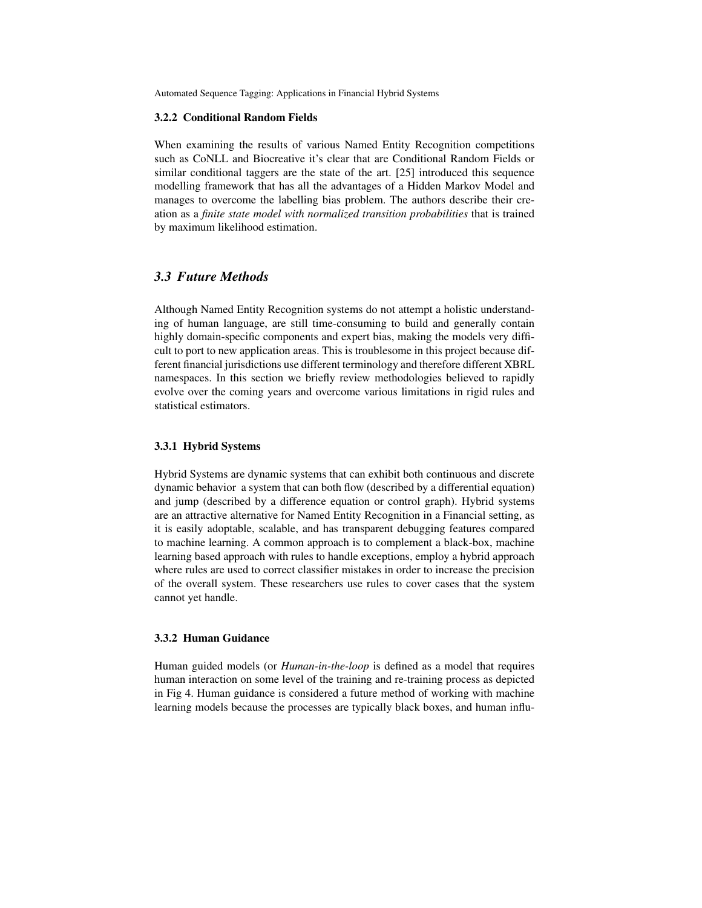#### 3.2.2 Conditional Random Fields

When examining the results of various Named Entity Recognition competitions such as CoNLL and Biocreative it's clear that are Conditional Random Fields or similar conditional taggers are the state of the art. [25] introduced this sequence modelling framework that has all the advantages of a Hidden Markov Model and manages to overcome the labelling bias problem. The authors describe their creation as a *finite state model with normalized transition probabilities* that is trained by maximum likelihood estimation.

# *3.3 Future Methods*

Although Named Entity Recognition systems do not attempt a holistic understanding of human language, are still time-consuming to build and generally contain highly domain-specific components and expert bias, making the models very difficult to port to new application areas. This is troublesome in this project because different financial jurisdictions use different terminology and therefore different XBRL namespaces. In this section we briefly review methodologies believed to rapidly evolve over the coming years and overcome various limitations in rigid rules and statistical estimators.

#### 3.3.1 Hybrid Systems

Hybrid Systems are dynamic systems that can exhibit both continuous and discrete dynamic behavior a system that can both flow (described by a differential equation) and jump (described by a difference equation or control graph). Hybrid systems are an attractive alternative for Named Entity Recognition in a Financial setting, as it is easily adoptable, scalable, and has transparent debugging features compared to machine learning. A common approach is to complement a black-box, machine learning based approach with rules to handle exceptions, employ a hybrid approach where rules are used to correct classifier mistakes in order to increase the precision of the overall system. These researchers use rules to cover cases that the system cannot yet handle.

#### 3.3.2 Human Guidance

Human guided models (or *Human-in-the-loop* is defined as a model that requires human interaction on some level of the training and re-training process as depicted in Fig 4. Human guidance is considered a future method of working with machine learning models because the processes are typically black boxes, and human influ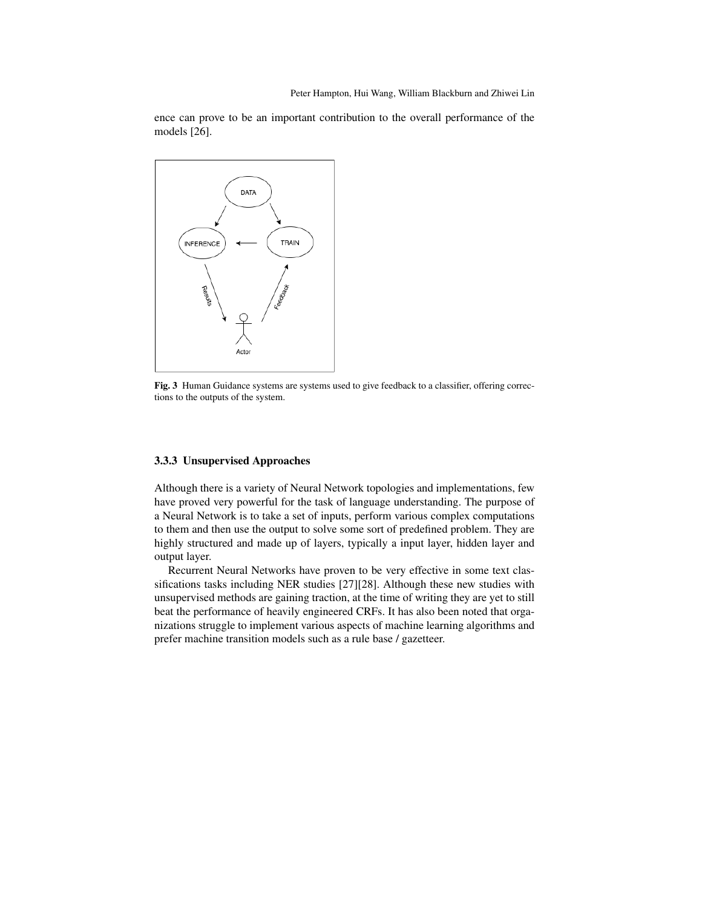ence can prove to be an important contribution to the overall performance of the models [26].



Fig. 3 Human Guidance systems are systems used to give feedback to a classifier, offering corrections to the outputs of the system.

### 3.3.3 Unsupervised Approaches

Although there is a variety of Neural Network topologies and implementations, few have proved very powerful for the task of language understanding. The purpose of a Neural Network is to take a set of inputs, perform various complex computations to them and then use the output to solve some sort of predefined problem. They are highly structured and made up of layers, typically a input layer, hidden layer and output layer.

Recurrent Neural Networks have proven to be very effective in some text classifications tasks including NER studies [27][28]. Although these new studies with unsupervised methods are gaining traction, at the time of writing they are yet to still beat the performance of heavily engineered CRFs. It has also been noted that organizations struggle to implement various aspects of machine learning algorithms and prefer machine transition models such as a rule base / gazetteer.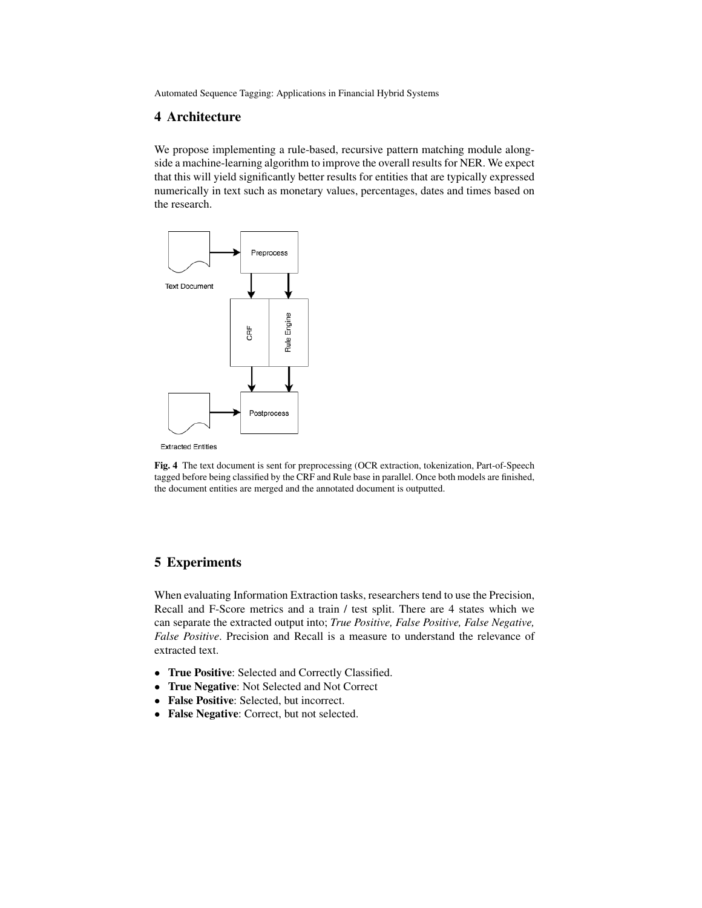# 4 Architecture

We propose implementing a rule-based, recursive pattern matching module alongside a machine-learning algorithm to improve the overall results for NER. We expect that this will yield significantly better results for entities that are typically expressed numerically in text such as monetary values, percentages, dates and times based on the research.



**Extracted Entities** 

Fig. 4 The text document is sent for preprocessing (OCR extraction, tokenization, Part-of-Speech tagged before being classified by the CRF and Rule base in parallel. Once both models are finished, the document entities are merged and the annotated document is outputted.

# 5 Experiments

When evaluating Information Extraction tasks, researchers tend to use the Precision, Recall and F-Score metrics and a train / test split. There are 4 states which we can separate the extracted output into; *True Positive, False Positive, False Negative, False Positive*. Precision and Recall is a measure to understand the relevance of extracted text.

- True Positive: Selected and Correctly Classified.
- True Negative: Not Selected and Not Correct
- False Positive: Selected, but incorrect.
- False Negative: Correct, but not selected.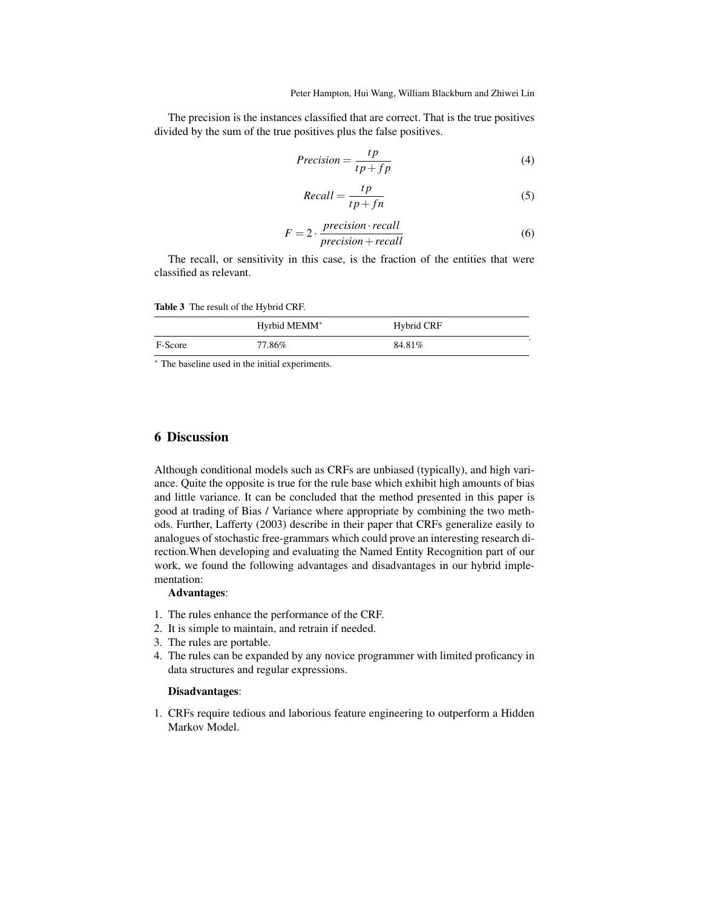The precision is the instances classified that are correct. That is the true positives divided by the sum of the true positives plus the false positives.

$$
Precision = \frac{tp}{tp + fp} \tag{4}
$$

$$
Recall = \frac{tp}{tp + fn} \tag{5}
$$

$$
F = 2 \cdot \frac{precision \cdot recall}{precision + recall}
$$
 (6)

The recall, or sensitivity in this case, is the fraction of the entities that were classified as relevant.

Table 3 The result of the Hybrid CRF.

|         | Hyrbid MEMM <sup>*</sup> | Hybrid CRF |
|---------|--------------------------|------------|
| F-Score | 77.86%                   | 84.81%     |

<sup>∗</sup> The baseline used in the initial experiments.

# 6 Discussion

Although conditional models such as CRFs are unbiased (typically), and high variance. Quite the opposite is true for the rule base which exhibit high amounts of bias and little variance. It can be concluded that the method presented in this paper is good at trading of Bias / Variance where appropriate by combining the two methods. Further, Lafferty (2003) describe in their paper that CRFs generalize easily to analogues of stochastic free-grammars which could prove an interesting research direction.When developing and evaluating the Named Entity Recognition part of our work, we found the following advantages and disadvantages in our hybrid implementation:

### Advantages:

- 1. The rules enhance the performance of the CRF.
- 2. It is simple to maintain, and retrain if needed.
- 3. The rules are portable.
- 4. The rules can be expanded by any novice programmer with limited proficancy in data structures and regular expressions.

#### Disadvantages:

1. CRFs require tedious and laborious feature engineering to outperform a Hidden Markov Model.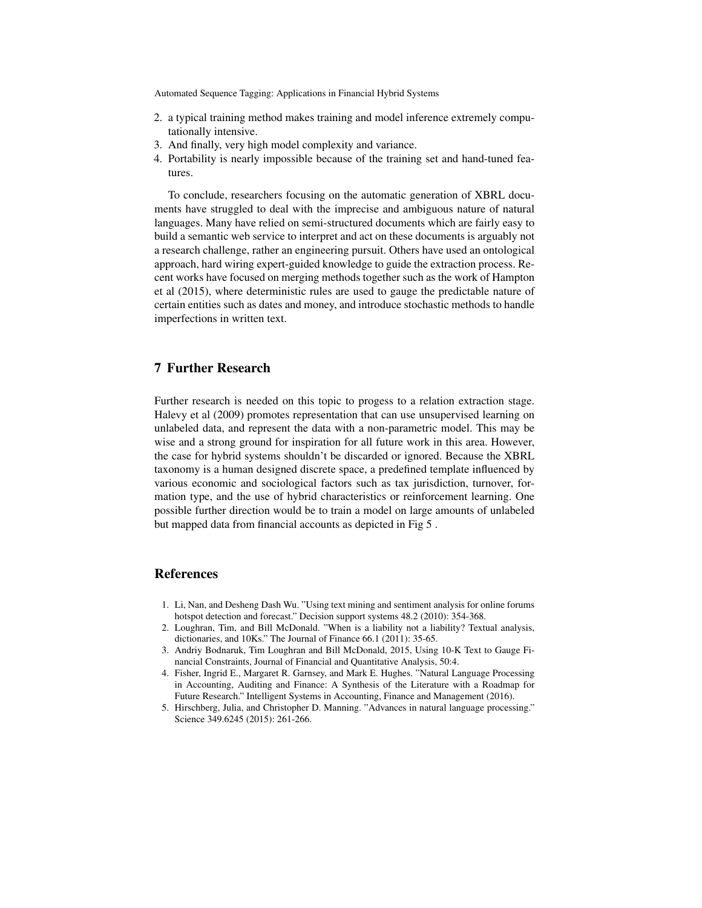- 2. a typical training method makes training and model inference extremely computationally intensive.
- 3. And finally, very high model complexity and variance.
- 4. Portability is nearly impossible because of the training set and hand-tuned features.

To conclude, researchers focusing on the automatic generation of XBRL documents have struggled to deal with the imprecise and ambiguous nature of natural languages. Many have relied on semi-structured documents which are fairly easy to build a semantic web service to interpret and act on these documents is arguably not a research challenge, rather an engineering pursuit. Others have used an ontological approach, hard wiring expert-guided knowledge to guide the extraction process. Recent works have focused on merging methods together such as the work of Hampton et al (2015), where deterministic rules are used to gauge the predictable nature of certain entities such as dates and money, and introduce stochastic methods to handle imperfections in written text.

# 7 Further Research

Further research is needed on this topic to progess to a relation extraction stage. Halevy et al (2009) promotes representation that can use unsupervised learning on unlabeled data, and represent the data with a non-parametric model. This may be wise and a strong ground for inspiration for all future work in this area. However, the case for hybrid systems shouldn't be discarded or ignored. Because the XBRL taxonomy is a human designed discrete space, a predefined template influenced by various economic and sociological factors such as tax jurisdiction, turnover, formation type, and the use of hybrid characteristics or reinforcement learning. One possible further direction would be to train a model on large amounts of unlabeled but mapped data from financial accounts as depicted in Fig 5 .

# References

- 1. Li, Nan, and Desheng Dash Wu. "Using text mining and sentiment analysis for online forums hotspot detection and forecast." Decision support systems 48.2 (2010): 354-368.
- 2. Loughran, Tim, and Bill McDonald. "When is a liability not a liability? Textual analysis, dictionaries, and 10Ks." The Journal of Finance 66.1 (2011): 35-65.
- 3. Andriy Bodnaruk, Tim Loughran and Bill McDonald, 2015, Using 10-K Text to Gauge Financial Constraints, Journal of Financial and Quantitative Analysis, 50:4.
- 4. Fisher, Ingrid E., Margaret R. Garnsey, and Mark E. Hughes. "Natural Language Processing in Accounting, Auditing and Finance: A Synthesis of the Literature with a Roadmap for Future Research." Intelligent Systems in Accounting, Finance and Management (2016).
- 5. Hirschberg, Julia, and Christopher D. Manning. "Advances in natural language processing." Science 349.6245 (2015): 261-266.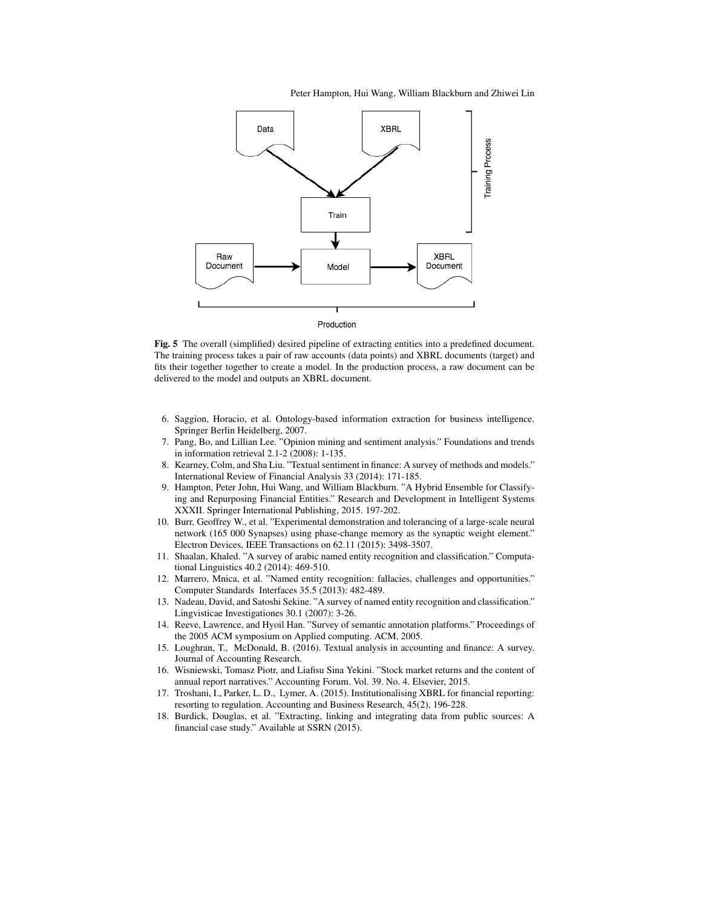Peter Hampton, Hui Wang, William Blackburn and Zhiwei Lin



Production

Fig. 5 The overall (simplified) desired pipeline of extracting entities into a predefined document. The training process takes a pair of raw accounts (data points) and XBRL documents (target) and fits their together together to create a model. In the production process, a raw document can be delivered to the model and outputs an XBRL document.

- 6. Saggion, Horacio, et al. Ontology-based information extraction for business intelligence. Springer Berlin Heidelberg, 2007.
- 7. Pang, Bo, and Lillian Lee. "Opinion mining and sentiment analysis." Foundations and trends in information retrieval 2.1-2 (2008): 1-135.
- 8. Kearney, Colm, and Sha Liu. "Textual sentiment in finance: A survey of methods and models." International Review of Financial Analysis 33 (2014): 171-185.
- 9. Hampton, Peter John, Hui Wang, and William Blackburn. "A Hybrid Ensemble for Classifying and Repurposing Financial Entities." Research and Development in Intelligent Systems XXXII. Springer International Publishing, 2015. 197-202.
- 10. Burr, Geoffrey W., et al. "Experimental demonstration and tolerancing of a large-scale neural network (165 000 Synapses) using phase-change memory as the synaptic weight element." Electron Devices, IEEE Transactions on 62.11 (2015): 3498-3507.
- 11. Shaalan, Khaled. "A survey of arabic named entity recognition and classification." Computational Linguistics 40.2 (2014): 469-510.
- 12. Marrero, Mnica, et al. "Named entity recognition: fallacies, challenges and opportunities." Computer Standards Interfaces 35.5 (2013): 482-489.
- 13. Nadeau, David, and Satoshi Sekine. "A survey of named entity recognition and classification." Lingvisticae Investigationes 30.1 (2007): 3-26.
- 14. Reeve, Lawrence, and Hyoil Han. "Survey of semantic annotation platforms." Proceedings of the 2005 ACM symposium on Applied computing. ACM, 2005.
- 15. Loughran, T., McDonald, B. (2016). Textual analysis in accounting and finance: A survey. Journal of Accounting Research.
- 16. Wisniewski, Tomasz Piotr, and Liafisu Sina Yekini. "Stock market returns and the content of annual report narratives." Accounting Forum. Vol. 39. No. 4. Elsevier, 2015.
- 17. Troshani, I., Parker, L. D., Lymer, A. (2015). Institutionalising XBRL for financial reporting: resorting to regulation. Accounting and Business Research, 45(2), 196-228.
- 18. Burdick, Douglas, et al. "Extracting, linking and integrating data from public sources: A financial case study." Available at SSRN (2015).